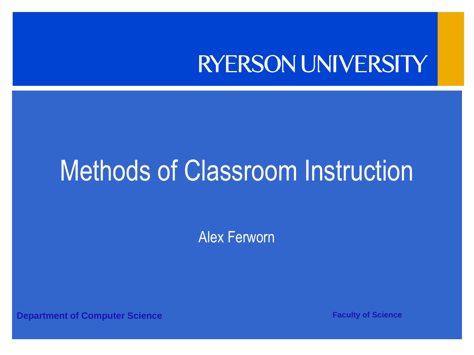#### **RYERSON UNIVERSITY**

#### Methods of Classroom Instruction

Alex Ferworn

**Department of Computer Science <b>Faculty of Science Faculty of Science**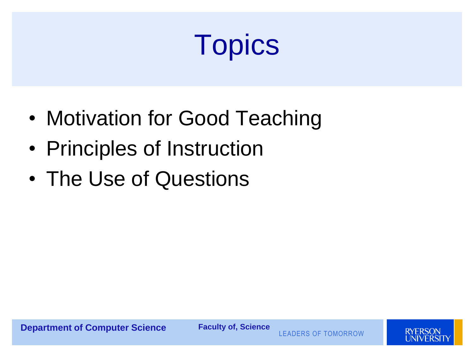# **Topics**

- Motivation for Good Teaching
- Principles of Instruction
- The Use of Questions

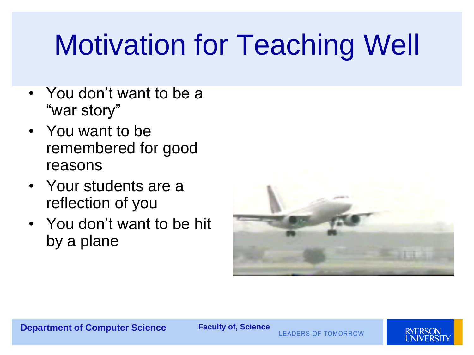# Motivation for Teaching Well

- You don't want to be a "war story"
- You want to be remembered for good reasons
- Your students are a reflection of you
- You don't want to be hit by a plane



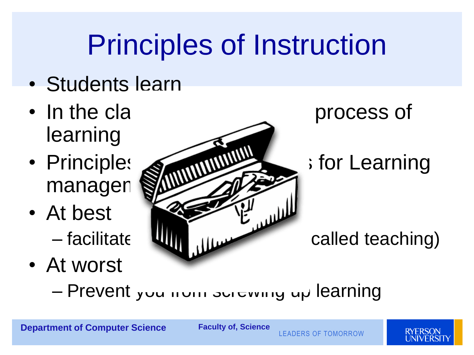## Principles of Instruction

- Students learn
- In the cla **the process of** learning
- managen
- At best
- At worst



– Prevent you from screwing up learning



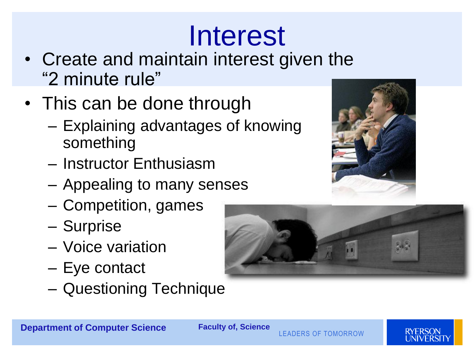## Interest

- Create and maintain interest given the "2 minute rule"
- This can be done through
	- Explaining advantages of knowing something
	- Instructor Enthusiasm
	- Appealing to many senses
	- Competition, games
	- Surprise
	- Voice variation
	- Eye contact
	- Questioning Technique





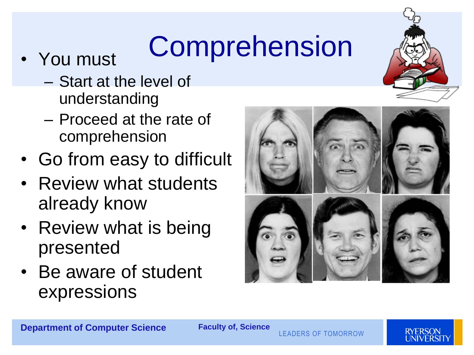# • You must **Comprehension**

- - Start at the level of understanding
	- Proceed at the rate of comprehension
- Go from easy to difficult
- Review what students already know
- Review what is being presented
- Be aware of student expressions





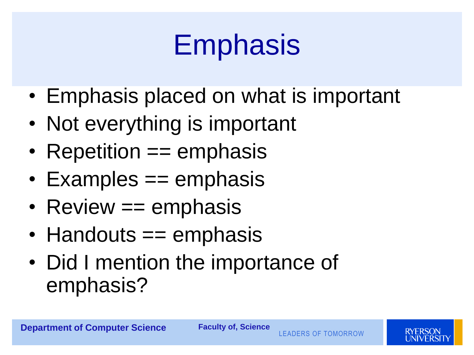## **Emphasis**

- Emphasis placed on what is important
- Not everything is important
- Repetition == emphasis
- Examples == emphasis
- Review == emphasis
- Handouts == emphasis
- Did I mention the importance of emphasis?

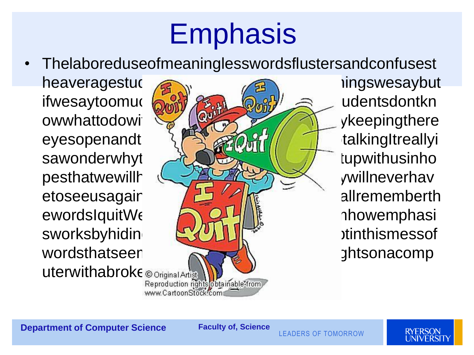## **Emphasis**

• Thelaboreduseofmeaninglesswordsflustersandconfusest heaveragestudentship and the many ingswesaybut ifwesaytoomuchallthewordscolling and the say of the state of the state of the state of the state of the state of the state of the state of the state of the state of the state of the state of the state of the state of the s owwhattodowith the Lease of the substitution whattodowith the lease of the second strengthere eyesopenandt } state and an intervention of the set of the set of the set of the set of the set of the set of the set of the set of the set of the set of the set of the set of the set of the set of the set of the set of th sawonderwhyt  $\mathcal{X}$ pesthatwewillhelpthemearnadegreeandtheward willneverhav etoseeusagain allrememberth ewordsIquitWell**Industryandshowthement** and the movemphasi sworksbyhidin  $\left[\frac{1}{2}, \frac{1}{2}\right]$ wordsthatseen  $\mathbb{R}$ uterwithabroke © Original Artist Material Artist www.CartoonStock.com

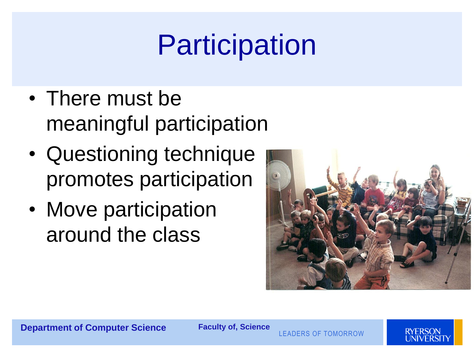# **Participation**

- There must be meaningful participation
- Questioning technique promotes participation
- Move participation around the class



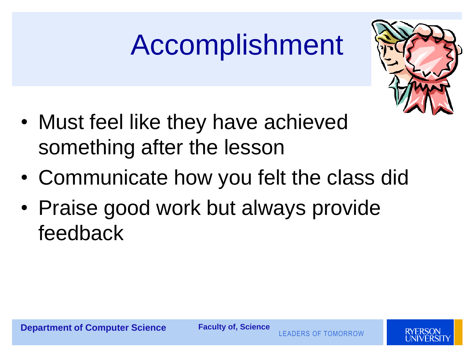# Accomplishment



- Must feel like they have achieved something after the lesson
- Communicate how you felt the class did
- Praise good work but always provide feedback

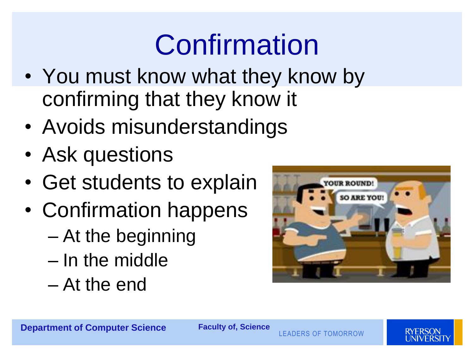## Confirmation

- You must know what they know by confirming that they know it
- Avoids misunderstandings
- Ask questions
- Get students to explain
- Confirmation happens
	- At the beginning
	- In the middle
	- At the end



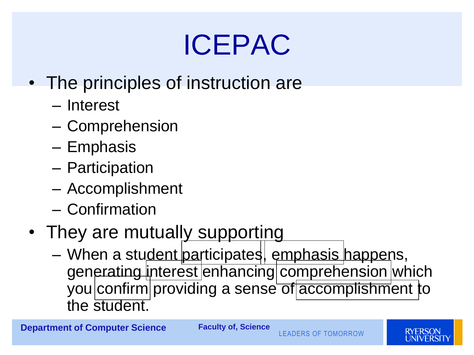## ICEPAC

- The principles of instruction are
	- Interest
	- Comprehension
	- Emphasis
	- Participation
	- Accomplishment
	- Confirmation
- They are mutually supporting
	- When a student participates, emphasis happens, generating interest enhancing comprehension which you confirm providing a sense of accomplishment to the student.



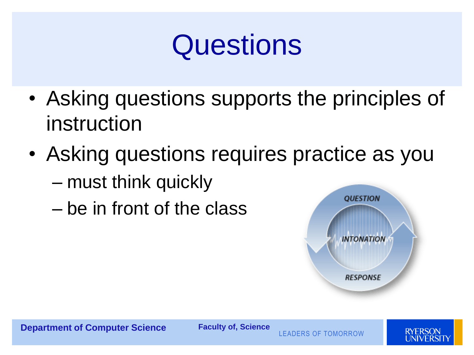#### **Questions**

- Asking questions supports the principles of instruction
- Asking questions requires practice as you
	- must think quickly
	- be in front of the class



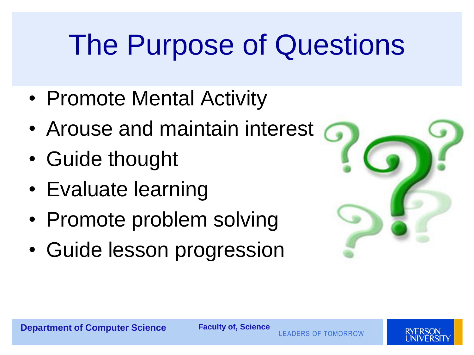## The Purpose of Questions

- Promote Mental Activity
- Arouse and maintain interest
- Guide thought
- Evaluate learning
- Promote problem solving
- Guide lesson progression



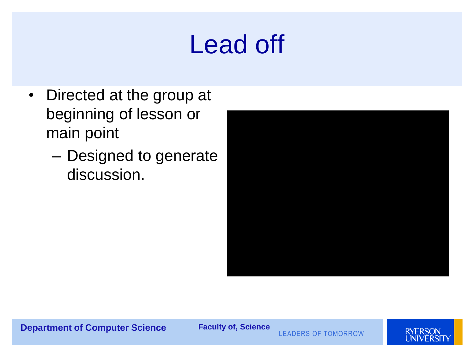#### Lead off

- Directed at the group at beginning of lesson or main point
	- Designed to generate discussion.

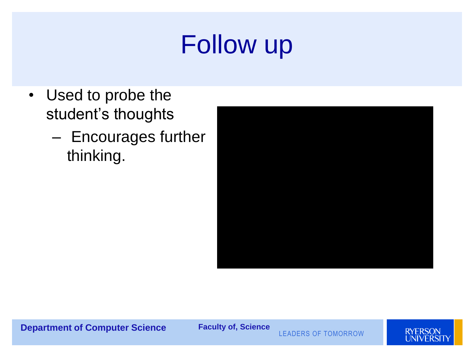#### Follow up

- Used to probe the student's thoughts
	- Encourages further thinking.



**Department of Computer Science Faculty of, Science**

LEADERS OF TOMORROW

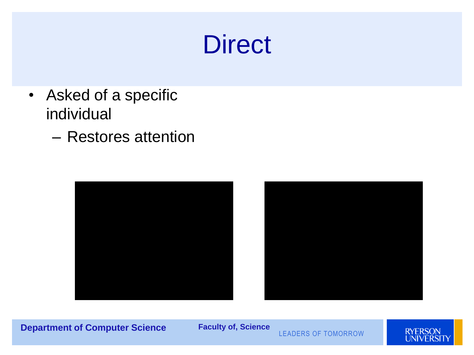#### **Direct**

- Asked of a specific individual
	- Restores attention



**Department of Computer Science Faculty of, Science**

LEADERS OF TOMORROW

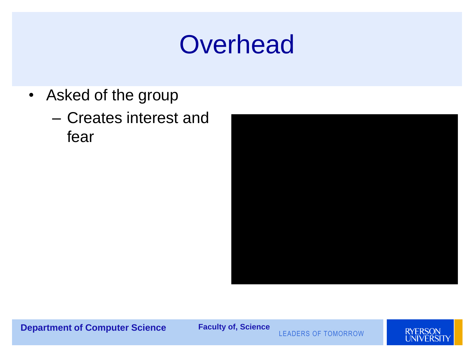#### **Overhead**

- Asked of the group
	- Creates interest and fear



**Department of Computer Science Faculty of, Science**

LEADERS OF TOMORROW

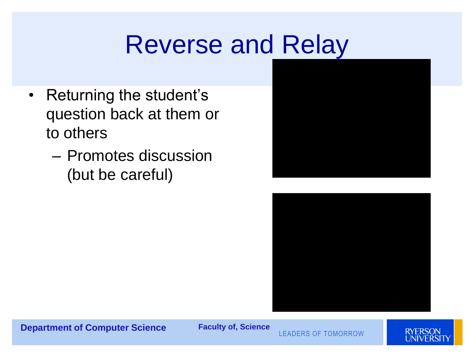#### Reverse and Relay

- Returning the student's question back at them or to others
	- Promotes discussion (but be careful)





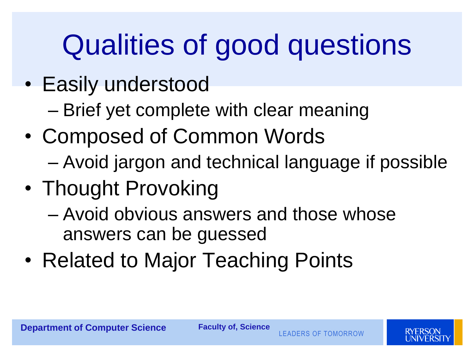## Qualities of good questions

- Easily understood
	- Brief yet complete with clear meaning
- Composed of Common Words
	- Avoid jargon and technical language if possible
- Thought Provoking
	- Avoid obvious answers and those whose answers can be guessed
- Related to Major Teaching Points

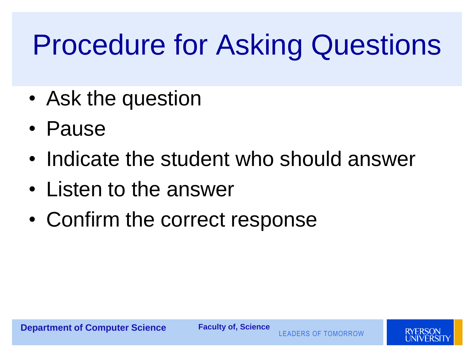## Procedure for Asking Questions

- Ask the question
- Pause
- Indicate the student who should answer
- Listen to the answer
- Confirm the correct response

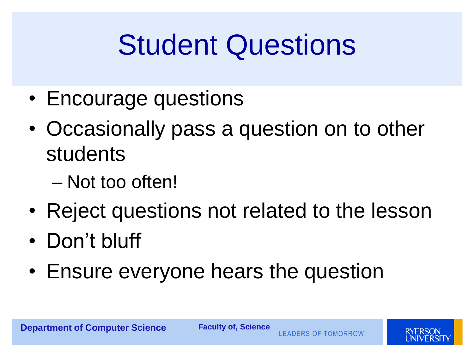## Student Questions

- Encourage questions
- Occasionally pass a question on to other students
	- Not too often!
- Reject questions not related to the lesson
- Don't bluff
- Ensure everyone hears the question